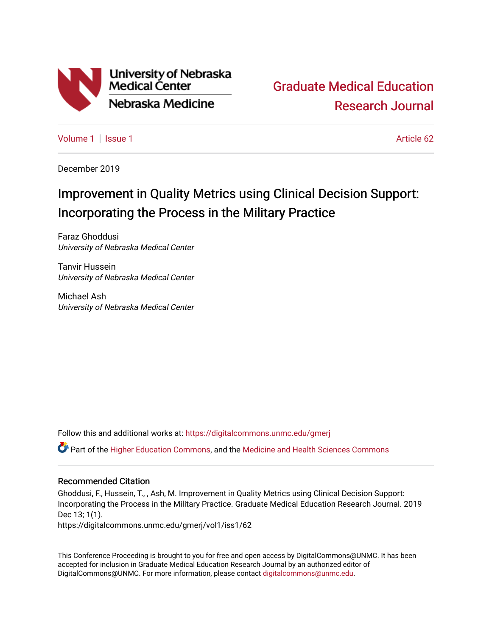

[Graduate Medical Education](https://digitalcommons.unmc.edu/gmerj)  [Research Journal](https://digitalcommons.unmc.edu/gmerj) 

[Volume 1](https://digitalcommons.unmc.edu/gmerj/vol1) | [Issue 1](https://digitalcommons.unmc.edu/gmerj/vol1/iss1) Article 62

December 2019

# Improvement in Quality Metrics using Clinical Decision Support: Incorporating the Process in the Military Practice

Faraz Ghoddusi University of Nebraska Medical Center

Tanvir Hussein University of Nebraska Medical Center

Michael Ash University of Nebraska Medical Center

Follow this and additional works at: [https://digitalcommons.unmc.edu/gmerj](https://digitalcommons.unmc.edu/gmerj?utm_source=digitalcommons.unmc.edu%2Fgmerj%2Fvol1%2Fiss1%2F62&utm_medium=PDF&utm_campaign=PDFCoverPages) 

Part of the [Higher Education Commons,](http://network.bepress.com/hgg/discipline/1245?utm_source=digitalcommons.unmc.edu%2Fgmerj%2Fvol1%2Fiss1%2F62&utm_medium=PDF&utm_campaign=PDFCoverPages) and the [Medicine and Health Sciences Commons](http://network.bepress.com/hgg/discipline/648?utm_source=digitalcommons.unmc.edu%2Fgmerj%2Fvol1%2Fiss1%2F62&utm_medium=PDF&utm_campaign=PDFCoverPages)

#### Recommended Citation

Ghoddusi, F., Hussein, T., , Ash, M. Improvement in Quality Metrics using Clinical Decision Support: Incorporating the Process in the Military Practice. Graduate Medical Education Research Journal. 2019 Dec 13; 1(1).

https://digitalcommons.unmc.edu/gmerj/vol1/iss1/62

This Conference Proceeding is brought to you for free and open access by DigitalCommons@UNMC. It has been accepted for inclusion in Graduate Medical Education Research Journal by an authorized editor of DigitalCommons@UNMC. For more information, please contact [digitalcommons@unmc.edu.](mailto:digitalcommons@unmc.edu)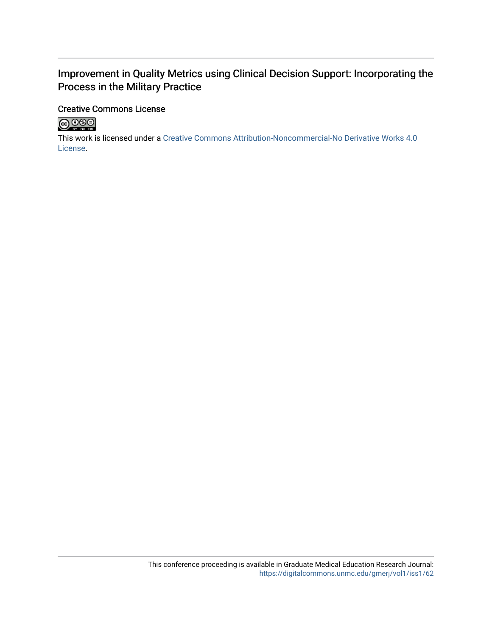## Improvement in Quality Metrics using Clinical Decision Support: Incorporating the Process in the Military Practice

## Creative Commons License



This work is licensed under a [Creative Commons Attribution-Noncommercial-No Derivative Works 4.0](http://creativecommons.org/licenses/by-nc-nd/4.0/) [License](http://creativecommons.org/licenses/by-nc-nd/4.0/).